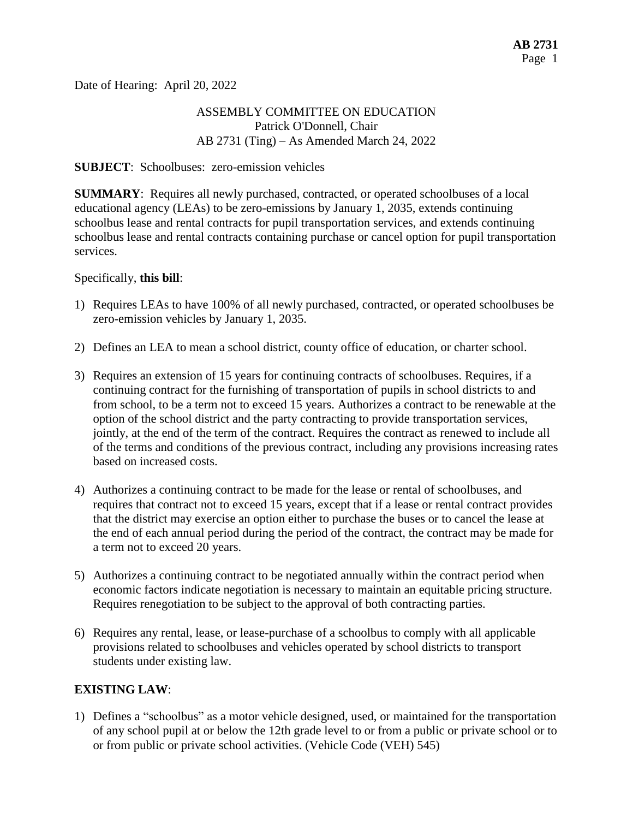Date of Hearing: April 20, 2022

## ASSEMBLY COMMITTEE ON EDUCATION Patrick O'Donnell, Chair AB 2731 (Ting) – As Amended March 24, 2022

#### **SUBJECT**: Schoolbuses: zero-emission vehicles

**SUMMARY**: Requires all newly purchased, contracted, or operated schoolbuses of a local educational agency (LEAs) to be zero-emissions by January 1, 2035, extends continuing schoolbus lease and rental contracts for pupil transportation services, and extends continuing schoolbus lease and rental contracts containing purchase or cancel option for pupil transportation services.

#### Specifically, **this bill**:

- 1) Requires LEAs to have 100% of all newly purchased, contracted, or operated schoolbuses be zero-emission vehicles by January 1, 2035.
- 2) Defines an LEA to mean a school district, county office of education, or charter school.
- 3) Requires an extension of 15 years for continuing contracts of schoolbuses. Requires, if a continuing contract for the furnishing of transportation of pupils in school districts to and from school, to be a term not to exceed 15 years. Authorizes a contract to be renewable at the option of the school district and the party contracting to provide transportation services, jointly, at the end of the term of the contract. Requires the contract as renewed to include all of the terms and conditions of the previous contract, including any provisions increasing rates based on increased costs.
- 4) Authorizes a continuing contract to be made for the lease or rental of schoolbuses, and requires that contract not to exceed 15 years, except that if a lease or rental contract provides that the district may exercise an option either to purchase the buses or to cancel the lease at the end of each annual period during the period of the contract, the contract may be made for a term not to exceed 20 years.
- 5) Authorizes a continuing contract to be negotiated annually within the contract period when economic factors indicate negotiation is necessary to maintain an equitable pricing structure. Requires renegotiation to be subject to the approval of both contracting parties.
- 6) Requires any rental, lease, or lease-purchase of a schoolbus to comply with all applicable provisions related to schoolbuses and vehicles operated by school districts to transport students under existing law.

### **EXISTING LAW**:

1) Defines a "schoolbus" as a motor vehicle designed, used, or maintained for the transportation of any school pupil at or below the 12th grade level to or from a public or private school or to or from public or private school activities. (Vehicle Code (VEH) 545)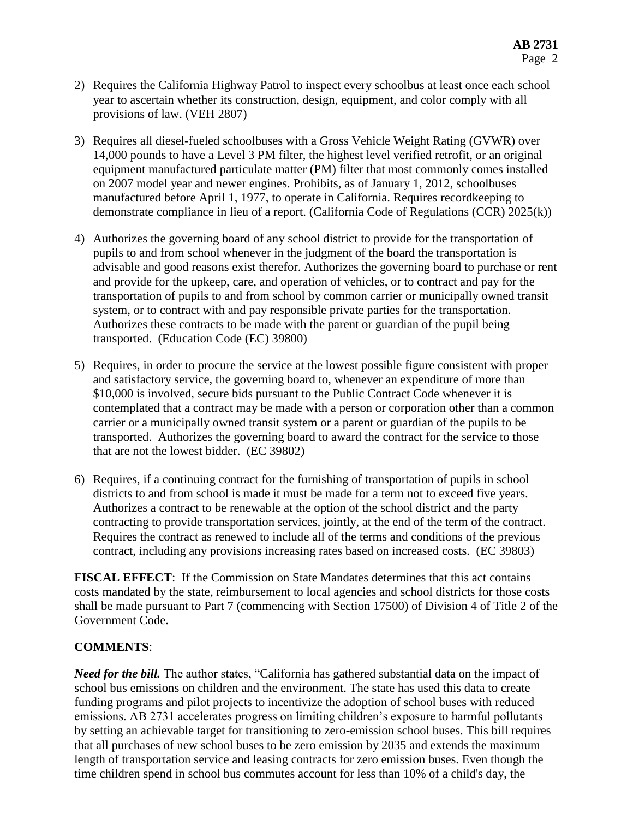- 2) Requires the California Highway Patrol to inspect every schoolbus at least once each school year to ascertain whether its construction, design, equipment, and color comply with all provisions of law. (VEH 2807)
- 3) Requires all diesel-fueled schoolbuses with a Gross Vehicle Weight Rating (GVWR) over 14,000 pounds to have a Level 3 PM filter, the highest level verified retrofit, or an original equipment manufactured particulate matter (PM) filter that most commonly comes installed on 2007 model year and newer engines. Prohibits, as of January 1, 2012, schoolbuses manufactured before April 1, 1977, to operate in California. Requires recordkeeping to demonstrate compliance in lieu of a report. (California Code of Regulations (CCR) 2025(k))
- 4) Authorizes the governing board of any school district to provide for the transportation of pupils to and from school whenever in the judgment of the board the transportation is advisable and good reasons exist therefor. Authorizes the governing board to purchase or rent and provide for the upkeep, care, and operation of vehicles, or to contract and pay for the transportation of pupils to and from school by common carrier or municipally owned transit system, or to contract with and pay responsible private parties for the transportation. Authorizes these contracts to be made with the parent or guardian of the pupil being transported. (Education Code (EC) 39800)
- 5) Requires, in order to procure the service at the lowest possible figure consistent with proper and satisfactory service, the governing board to, whenever an expenditure of more than \$10,000 is involved, secure bids pursuant to the Public Contract Code whenever it is contemplated that a contract may be made with a person or corporation other than a common carrier or a municipally owned transit system or a parent or guardian of the pupils to be transported. Authorizes the governing board to award the contract for the service to those that are not the lowest bidder. (EC 39802)
- 6) Requires, if a continuing contract for the furnishing of transportation of pupils in school districts to and from school is made it must be made for a term not to exceed five years. Authorizes a contract to be renewable at the option of the school district and the party contracting to provide transportation services, jointly, at the end of the term of the contract. Requires the contract as renewed to include all of the terms and conditions of the previous contract, including any provisions increasing rates based on increased costs. (EC 39803)

**FISCAL EFFECT**: If the Commission on State Mandates determines that this act contains costs mandated by the state, reimbursement to local agencies and school districts for those costs shall be made pursuant to Part 7 (commencing with Section 17500) of Division 4 of Title 2 of the Government Code.

## **COMMENTS**:

*Need for the bill.* The author states, "California has gathered substantial data on the impact of school bus emissions on children and the environment. The state has used this data to create funding programs and pilot projects to incentivize the adoption of school buses with reduced emissions. AB 2731 accelerates progress on limiting children's exposure to harmful pollutants by setting an achievable target for transitioning to zero-emission school buses. This bill requires that all purchases of new school buses to be zero emission by 2035 and extends the maximum length of transportation service and leasing contracts for zero emission buses. Even though the time children spend in school bus commutes account for less than 10% of a child's day, the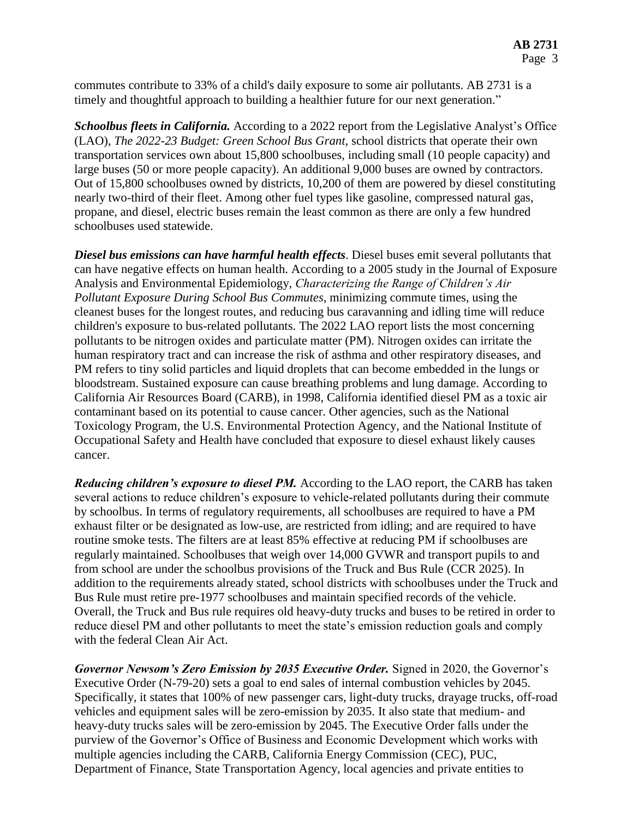commutes contribute to 33% of a child's daily exposure to some air pollutants. AB 2731 is a timely and thoughtful approach to building a healthier future for our next generation."

*Schoolbus fleets in California.* According to a 2022 report from the Legislative Analyst's Office (LAO), *The 2022-23 Budget: Green School Bus Grant,* school districts that operate their own transportation services own about 15,800 schoolbuses, including small (10 people capacity) and large buses (50 or more people capacity). An additional 9,000 buses are owned by contractors. Out of 15,800 schoolbuses owned by districts, 10,200 of them are powered by diesel constituting nearly two-third of their fleet. Among other fuel types like gasoline, compressed natural gas, propane, and diesel, electric buses remain the least common as there are only a few hundred schoolbuses used statewide.

*Diesel bus emissions can have harmful health effects*. Diesel buses emit several pollutants that can have negative effects on human health. According to a 2005 study in the Journal of Exposure Analysis and Environmental Epidemiology, *Characterizing the Range of Children's Air Pollutant Exposure During School Bus Commutes*, minimizing commute times, using the cleanest buses for the longest routes, and reducing bus caravanning and idling time will reduce children's exposure to bus-related pollutants. The 2022 LAO report lists the most concerning pollutants to be nitrogen oxides and particulate matter (PM). Nitrogen oxides can irritate the human respiratory tract and can increase the risk of asthma and other respiratory diseases, and PM refers to tiny solid particles and liquid droplets that can become embedded in the lungs or bloodstream. Sustained exposure can cause breathing problems and lung damage. According to California Air Resources Board (CARB), in 1998, California identified diesel PM as a toxic air contaminant based on its potential to cause cancer. Other agencies, such as the National Toxicology Program, the U.S. Environmental Protection Agency, and the National Institute of Occupational Safety and Health have concluded that exposure to diesel exhaust likely causes cancer.

*Reducing children's exposure to diesel PM.* According to the LAO report, the CARB has taken several actions to reduce children's exposure to vehicle-related pollutants during their commute by schoolbus. In terms of regulatory requirements, all schoolbuses are required to have a PM exhaust filter or be designated as low-use, are restricted from idling; and are required to have routine smoke tests. The filters are at least 85% effective at reducing PM if schoolbuses are regularly maintained. Schoolbuses that weigh over 14,000 GVWR and transport pupils to and from school are under the schoolbus provisions of the Truck and Bus Rule (CCR 2025). In addition to the requirements already stated, school districts with schoolbuses under the Truck and Bus Rule must retire pre-1977 schoolbuses and maintain specified records of the vehicle. Overall, the Truck and Bus rule requires old heavy-duty trucks and buses to be retired in order to reduce diesel PM and other pollutants to meet the state's emission reduction goals and comply with the federal Clean Air Act.

*Governor Newsom's Zero Emission by 2035 Executive Order.* Signed in 2020, the Governor's Executive Order (N-79-20) sets a goal to end sales of internal combustion vehicles by 2045. Specifically, it states that 100% of new passenger cars, light-duty trucks, drayage trucks, off-road vehicles and equipment sales will be zero-emission by 2035. It also state that medium- and heavy-duty trucks sales will be zero-emission by 2045. The Executive Order falls under the purview of the Governor's Office of Business and Economic Development which works with multiple agencies including the CARB, California Energy Commission (CEC), PUC, Department of Finance, State Transportation Agency, local agencies and private entities to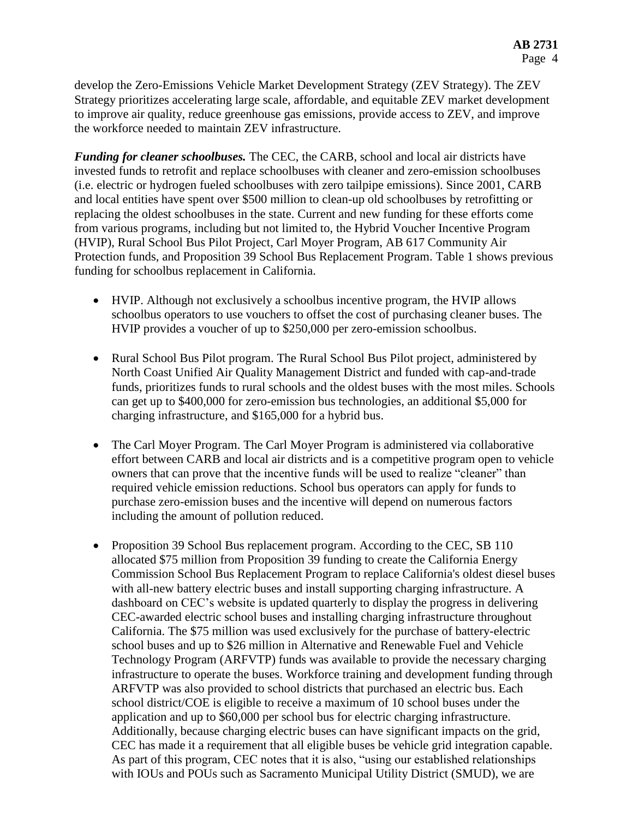develop the Zero-Emissions Vehicle Market Development Strategy (ZEV Strategy). The ZEV Strategy prioritizes accelerating large scale, affordable, and equitable ZEV market development to improve air quality, reduce greenhouse gas emissions, provide access to ZEV, and improve the workforce needed to maintain ZEV infrastructure.

*Funding for cleaner schoolbuses.* The CEC, the CARB, school and local air districts have invested funds to retrofit and replace schoolbuses with cleaner and zero-emission schoolbuses (i.e. electric or hydrogen fueled schoolbuses with zero tailpipe emissions). Since 2001, CARB and local entities have spent over \$500 million to clean-up old schoolbuses by retrofitting or replacing the oldest schoolbuses in the state. Current and new funding for these efforts come from various programs, including but not limited to, the Hybrid Voucher Incentive Program (HVIP), Rural School Bus Pilot Project, Carl Moyer Program, AB 617 Community Air Protection funds, and Proposition 39 School Bus Replacement Program. Table 1 shows previous funding for schoolbus replacement in California.

- HVIP. Although not exclusively a schoolbus incentive program, the HVIP allows schoolbus operators to use vouchers to offset the cost of purchasing cleaner buses. The HVIP provides a voucher of up to \$250,000 per zero-emission schoolbus.
- Rural School Bus Pilot program. The Rural School Bus Pilot project, administered by North Coast Unified Air Quality Management District and funded with cap-and-trade funds, prioritizes funds to rural schools and the oldest buses with the most miles. Schools can get up to \$400,000 for zero-emission bus technologies, an additional \$5,000 for charging infrastructure, and \$165,000 for a hybrid bus.
- The Carl Moyer Program. The Carl Moyer Program is administered via collaborative effort between CARB and local air districts and is a competitive program open to vehicle owners that can prove that the incentive funds will be used to realize "cleaner" than required vehicle emission reductions. School bus operators can apply for funds to purchase zero-emission buses and the incentive will depend on numerous factors including the amount of pollution reduced.
- Proposition 39 School Bus replacement program. According to the CEC, SB 110 allocated \$75 million from Proposition 39 funding to create the California Energy Commission School Bus Replacement Program to replace California's oldest diesel buses with all-new battery electric buses and install supporting charging infrastructure. A dashboard on CEC's website is updated quarterly to display the progress in delivering CEC-awarded electric school buses and installing charging infrastructure throughout California. The \$75 million was used exclusively for the purchase of battery-electric school buses and up to \$26 million in Alternative and Renewable Fuel and Vehicle Technology Program (ARFVTP) funds was available to provide the necessary charging infrastructure to operate the buses. Workforce training and development funding through ARFVTP was also provided to school districts that purchased an electric bus. Each school district/COE is eligible to receive a maximum of 10 school buses under the application and up to \$60,000 per school bus for electric charging infrastructure. Additionally, because charging electric buses can have significant impacts on the grid, CEC has made it a requirement that all eligible buses be vehicle grid integration capable. As part of this program, CEC notes that it is also, "using our established relationships with IOUs and POUs such as Sacramento Municipal Utility District (SMUD), we are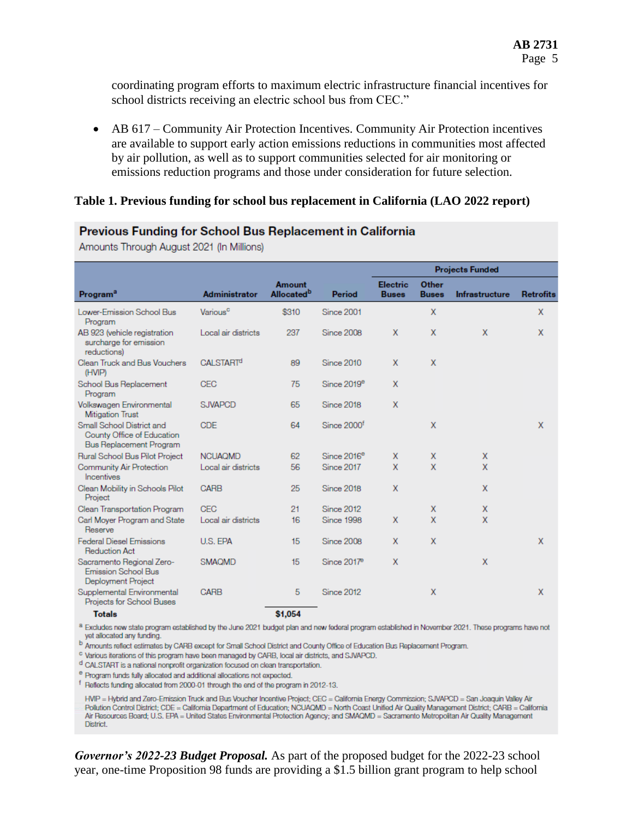coordinating program efforts to maximum electric infrastructure financial incentives for school districts receiving an electric school bus from CEC."

 AB 617 – Community Air Protection Incentives. Community Air Protection incentives are available to support early action emissions reductions in communities most affected by air pollution, as well as to support communities selected for air monitoring or emissions reduction programs and those under consideration for future selection.

#### **Table 1. Previous funding for school bus replacement in California (LAO 2022 report)**

| Program <sup>a</sup>                                                               | Administrator               | <b>Amount</b><br>Allocated <sup>b</sup> | Period                  | <b>Projects Funded</b>          |                              |                       |                  |
|------------------------------------------------------------------------------------|-----------------------------|-----------------------------------------|-------------------------|---------------------------------|------------------------------|-----------------------|------------------|
|                                                                                    |                             |                                         |                         | <b>Electric</b><br><b>Buses</b> | <b>Other</b><br><b>Buses</b> | <b>Infrastructure</b> | <b>Retrofits</b> |
| Lower-Emission School Bus<br>Program                                               | Various <sup>c</sup>        | \$310                                   | Since 2001              |                                 | X                            |                       | X                |
| AB 923 (vehicle registration<br>surcharge for emission<br>reductions)              | Local air districts         | 237                                     | <b>Since 2008</b>       | X                               | X                            | X                     | X                |
| Clean Truck and Bus Vouchers<br>(HVIP)                                             | <b>CALSTART<sup>d</sup></b> | 89                                      | <b>Since 2010</b>       | X                               | X                            |                       |                  |
| School Bus Replacement<br>Program                                                  | <b>CEC</b>                  | 75                                      | Since 2019 <sup>e</sup> | X                               |                              |                       |                  |
| Volkswagen Environmental<br><b>Mitigation Trust</b>                                | <b>SJVAPCD</b>              | 65                                      | <b>Since 2018</b>       | X                               |                              |                       |                  |
| Small School District and<br>County Office of Education<br>Bus Replacement Program | <b>CDE</b>                  | 64                                      | Since 2000 <sup>f</sup> |                                 | X                            |                       | X                |
| Rural School Bus Pilot Project                                                     | <b>NCUAQMD</b>              | 62                                      | Since 2016 <sup>e</sup> | X                               | X                            | X                     |                  |
| <b>Community Air Protection</b><br>Incentives                                      | Local air districts         | 56                                      | <b>Since 2017</b>       | X                               | $\mathbf x$                  | X                     |                  |
| Clean Mobility in Schools Pilot<br>Project                                         | <b>CARB</b>                 | 25                                      | <b>Since 2018</b>       | X                               |                              | X                     |                  |
| Clean Transportation Program                                                       | <b>CEC</b>                  | 21                                      | <b>Since 2012</b>       |                                 | X                            | X                     |                  |
| Carl Moyer Program and State<br>Reserve                                            | Local air districts         | 16                                      | Since 1998              | X                               | X                            | X                     |                  |
| <b>Federal Diesel Emissions</b><br><b>Reduction Act</b>                            | U.S. EPA                    | 15                                      | Since 2008              | X                               | $\mathsf{x}$                 |                       | X                |
| Sacramento Regional Zero-<br>Emission School Bus<br>Deployment Project             | <b>SMAQMD</b>               | 15                                      | Since 2017 <sup>e</sup> | X                               |                              | X                     |                  |
| Supplemental Environmental<br>Projects for School Buses                            | CARB                        | 5                                       | <b>Since 2012</b>       |                                 | X                            |                       | X                |
| <b>Totals</b>                                                                      |                             | \$1.054                                 |                         |                                 |                              |                       |                  |

#### **Previous Funding for School Bus Replacement in California**

Amounts Through August 2021 (In Millions)

a Excludes new state program established by the June 2021 budget plan and new federal program established in November 2021. These programs have not yet allocated any funding.

<sup>b</sup> Amounts reflect estimates by CARB except for Small School District and County Office of Education Bus Replacement Program.

<sup>c</sup> Various iterations of this program have been managed by CARB, local air districts, and SJVAPCD.

<sup>d</sup> CALSTART is a national nonprofit organization focused on clean transportation.

<sup>e</sup> Program funds fully allocated and additional allocations not expected.

<sup>f</sup> Reflects funding allocated from 2000-01 through the end of the program in 2012-13.

HVIP = Hybrid and Zero-Ernission Truck and Bus Voucher Incentive Project; CEC = California Energy Commission; SJVAPCD = San Joaquin Valley Air Pollution Control District: CDE = California Department of Education: NCUAQMD = North Coast Unified Air Quality Management District: CARB = California Air Resources Board; U.S. EPA = United States Environmental Protection Agency; and SMAQMD = Sacramento Metropolitan Air Quality Management District.

*Governor's 2022-23 Budget Proposal.* As part of the proposed budget for the 2022-23 school year, one-time Proposition 98 funds are providing a \$1.5 billion grant program to help school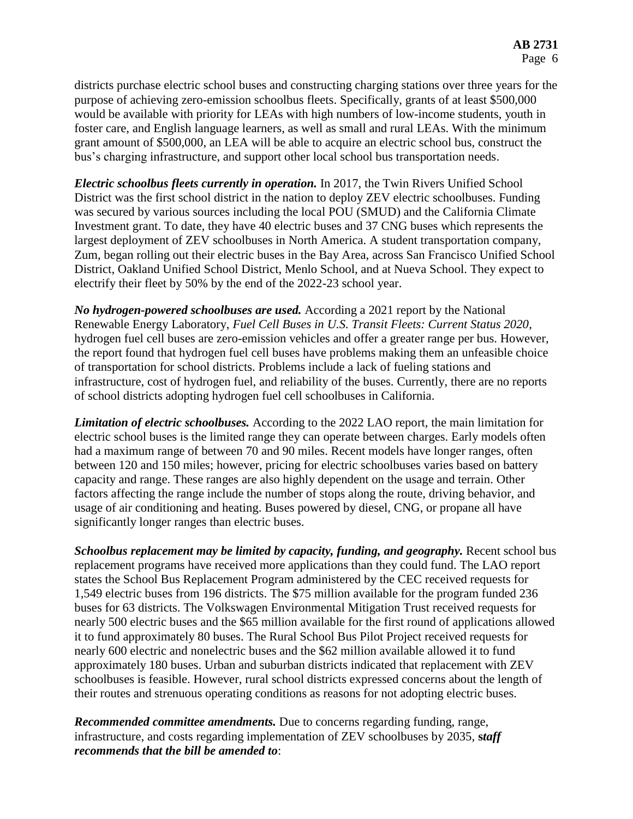districts purchase electric school buses and constructing charging stations over three years for the purpose of achieving zero-emission schoolbus fleets. Specifically, grants of at least \$500,000 would be available with priority for LEAs with high numbers of low-income students, youth in foster care, and English language learners, as well as small and rural LEAs. With the minimum grant amount of \$500,000, an LEA will be able to acquire an electric school bus, construct the bus's charging infrastructure, and support other local school bus transportation needs.

*Electric schoolbus fleets currently in operation.* In 2017, the Twin Rivers Unified School District was the first school district in the nation to deploy ZEV electric schoolbuses. Funding was secured by various sources including the local POU (SMUD) and the California Climate Investment grant. To date, they have 40 electric buses and 37 CNG buses which represents the largest deployment of ZEV schoolbuses in North America. A student transportation company, Zum, began rolling out their electric buses in the Bay Area, across San Francisco Unified School District, Oakland Unified School District, Menlo School, and at Nueva School. They expect to electrify their fleet by 50% by the end of the 2022-23 school year.

*No hydrogen-powered schoolbuses are used.* According a 2021 report by the National Renewable Energy Laboratory, *Fuel Cell Buses in U.S. Transit Fleets: Current Status 2020,*  hydrogen fuel cell buses are zero-emission vehicles and offer a greater range per bus. However, the report found that hydrogen fuel cell buses have problems making them an unfeasible choice of transportation for school districts. Problems include a lack of fueling stations and infrastructure, cost of hydrogen fuel, and reliability of the buses. Currently, there are no reports of school districts adopting hydrogen fuel cell schoolbuses in California.

*Limitation of electric schoolbuses.* According to the 2022 LAO report, the main limitation for electric school buses is the limited range they can operate between charges. Early models often had a maximum range of between 70 and 90 miles. Recent models have longer ranges, often between 120 and 150 miles; however, pricing for electric schoolbuses varies based on battery capacity and range. These ranges are also highly dependent on the usage and terrain. Other factors affecting the range include the number of stops along the route, driving behavior, and usage of air conditioning and heating. Buses powered by diesel, CNG, or propane all have significantly longer ranges than electric buses.

*Schoolbus replacement may be limited by capacity, funding, and geography.* Recent school bus replacement programs have received more applications than they could fund. The LAO report states the School Bus Replacement Program administered by the CEC received requests for 1,549 electric buses from 196 districts. The \$75 million available for the program funded 236 buses for 63 districts. The Volkswagen Environmental Mitigation Trust received requests for nearly 500 electric buses and the \$65 million available for the first round of applications allowed it to fund approximately 80 buses. The Rural School Bus Pilot Project received requests for nearly 600 electric and nonelectric buses and the \$62 million available allowed it to fund approximately 180 buses. Urban and suburban districts indicated that replacement with ZEV schoolbuses is feasible. However, rural school districts expressed concerns about the length of their routes and strenuous operating conditions as reasons for not adopting electric buses.

*Recommended committee amendments.* Due to concerns regarding funding, range, infrastructure, and costs regarding implementation of ZEV schoolbuses by 2035, **s***taff recommends that the bill be amended to*: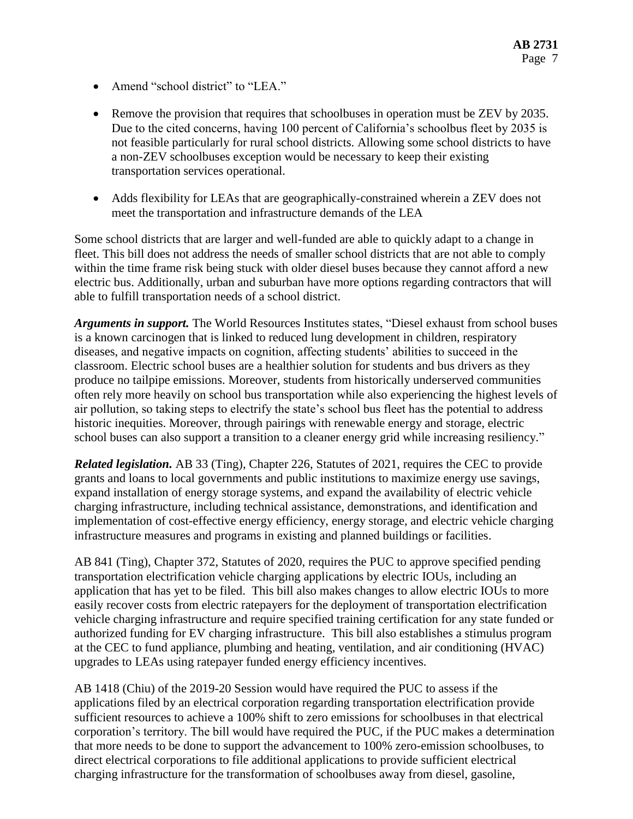- Amend "school district" to "LEA."
- Remove the provision that requires that schoolbuses in operation must be ZEV by 2035. Due to the cited concerns, having 100 percent of California's schoolbus fleet by 2035 is not feasible particularly for rural school districts. Allowing some school districts to have a non-ZEV schoolbuses exception would be necessary to keep their existing transportation services operational.
- Adds flexibility for LEAs that are geographically-constrained wherein a ZEV does not meet the transportation and infrastructure demands of the LEA

Some school districts that are larger and well-funded are able to quickly adapt to a change in fleet. This bill does not address the needs of smaller school districts that are not able to comply within the time frame risk being stuck with older diesel buses because they cannot afford a new electric bus. Additionally, urban and suburban have more options regarding contractors that will able to fulfill transportation needs of a school district.

*Arguments in support.* The World Resources Institutes states, "Diesel exhaust from school buses is a known carcinogen that is linked to reduced lung development in children, respiratory diseases, and negative impacts on cognition, affecting students' abilities to succeed in the classroom. Electric school buses are a healthier solution for students and bus drivers as they produce no tailpipe emissions. Moreover, students from historically underserved communities often rely more heavily on school bus transportation while also experiencing the highest levels of air pollution, so taking steps to electrify the state's school bus fleet has the potential to address historic inequities. Moreover, through pairings with renewable energy and storage, electric school buses can also support a transition to a cleaner energy grid while increasing resiliency."

*Related legislation.* AB 33 (Ting), Chapter 226, Statutes of 2021, requires the CEC to provide grants and loans to local governments and public institutions to maximize energy use savings, expand installation of energy storage systems, and expand the availability of electric vehicle charging infrastructure, including technical assistance, demonstrations, and identification and implementation of cost-effective energy efficiency, energy storage, and electric vehicle charging infrastructure measures and programs in existing and planned buildings or facilities.

AB 841 (Ting), Chapter 372, Statutes of 2020, requires the PUC to approve specified pending transportation electrification vehicle charging applications by electric IOUs, including an application that has yet to be filed. This bill also makes changes to allow electric IOUs to more easily recover costs from electric ratepayers for the deployment of transportation electrification vehicle charging infrastructure and require specified training certification for any state funded or authorized funding for EV charging infrastructure. This bill also establishes a stimulus program at the CEC to fund appliance, plumbing and heating, ventilation, and air conditioning (HVAC) upgrades to LEAs using ratepayer funded energy efficiency incentives.

AB 1418 (Chiu) of the 2019-20 Session would have required the PUC to assess if the applications filed by an electrical corporation regarding transportation electrification provide sufficient resources to achieve a 100% shift to zero emissions for schoolbuses in that electrical corporation's territory. The bill would have required the PUC, if the PUC makes a determination that more needs to be done to support the advancement to 100% zero-emission schoolbuses, to direct electrical corporations to file additional applications to provide sufficient electrical charging infrastructure for the transformation of schoolbuses away from diesel, gasoline,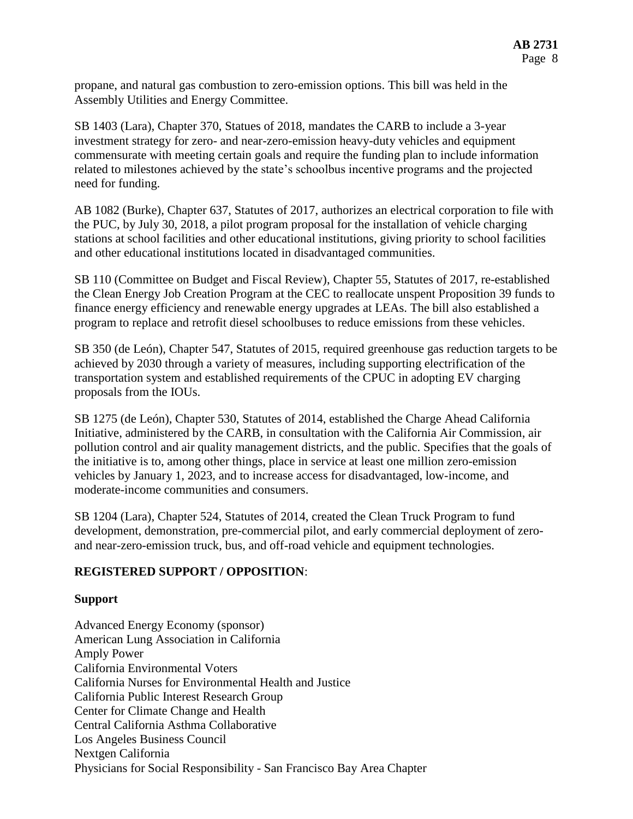propane, and natural gas combustion to zero-emission options. This bill was held in the Assembly Utilities and Energy Committee.

SB 1403 (Lara), Chapter 370, Statues of 2018, mandates the CARB to include a 3-year investment strategy for zero- and near-zero-emission heavy-duty vehicles and equipment commensurate with meeting certain goals and require the funding plan to include information related to milestones achieved by the state's schoolbus incentive programs and the projected need for funding.

AB 1082 (Burke), Chapter 637, Statutes of 2017, authorizes an electrical corporation to file with the PUC, by July 30, 2018, a pilot program proposal for the installation of vehicle charging stations at school facilities and other educational institutions, giving priority to school facilities and other educational institutions located in disadvantaged communities.

SB 110 (Committee on Budget and Fiscal Review), Chapter 55, Statutes of 2017, re-established the Clean Energy Job Creation Program at the CEC to reallocate unspent Proposition 39 funds to finance energy efficiency and renewable energy upgrades at LEAs. The bill also established a program to replace and retrofit diesel schoolbuses to reduce emissions from these vehicles.

SB 350 (de León), Chapter 547, Statutes of 2015, required greenhouse gas reduction targets to be achieved by 2030 through a variety of measures, including supporting electrification of the transportation system and established requirements of the CPUC in adopting EV charging proposals from the IOUs.

SB 1275 (de León), Chapter 530, Statutes of 2014, established the Charge Ahead California Initiative, administered by the CARB, in consultation with the California Air Commission, air pollution control and air quality management districts, and the public. Specifies that the goals of the initiative is to, among other things, place in service at least one million zero-emission vehicles by January 1, 2023, and to increase access for disadvantaged, low-income, and moderate-income communities and consumers.

SB 1204 (Lara), Chapter 524, Statutes of 2014, created the Clean Truck Program to fund development, demonstration, pre-commercial pilot, and early commercial deployment of zeroand near-zero-emission truck, bus, and off-road vehicle and equipment technologies.

## **REGISTERED SUPPORT / OPPOSITION**:

#### **Support**

Advanced Energy Economy (sponsor) American Lung Association in California Amply Power California Environmental Voters California Nurses for Environmental Health and Justice California Public Interest Research Group Center for Climate Change and Health Central California Asthma Collaborative Los Angeles Business Council Nextgen California Physicians for Social Responsibility - San Francisco Bay Area Chapter